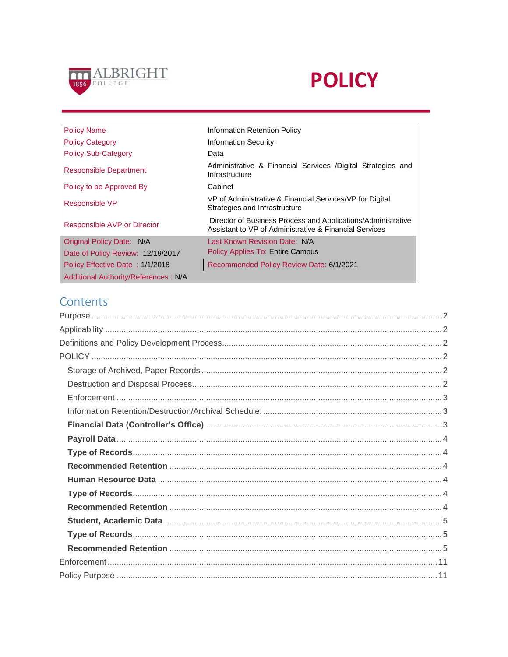

# **POLICY**

| <b>Policy Name</b>                          | Information Retention Policy                                                                                           |
|---------------------------------------------|------------------------------------------------------------------------------------------------------------------------|
| <b>Policy Category</b>                      | <b>Information Security</b>                                                                                            |
| <b>Policy Sub-Category</b>                  | Data                                                                                                                   |
| <b>Responsible Department</b>               | Administrative & Financial Services /Digital Strategies and<br>Infrastructure                                          |
| Policy to be Approved By                    | Cabinet                                                                                                                |
| Responsible VP                              | VP of Administrative & Financial Services/VP for Digital<br>Strategies and Infrastructure                              |
| Responsible AVP or Director                 | Director of Business Process and Applications/Administrative<br>Assistant to VP of Administrative & Financial Services |
| Original Policy Date: N/A                   | Last Known Revision Date: N/A                                                                                          |
| Date of Policy Review: 12/19/2017           | Policy Applies To: Entire Campus                                                                                       |
| Policy Effective Date: 1/1/2018             | Recommended Policy Review Date: 6/1/2021                                                                               |
| <b>Additional Authority/References: N/A</b> |                                                                                                                        |

## Contents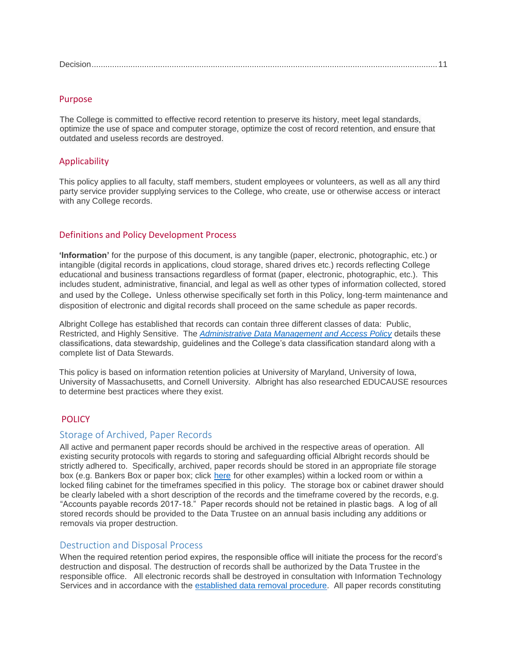|--|

#### <span id="page-1-0"></span>Purpose

The College is committed to effective record retention to preserve its history, meet legal standards, optimize the use of space and computer storage, optimize the cost of record retention, and ensure that outdated and useless records are destroyed.

#### <span id="page-1-1"></span>**Applicability**

This policy applies to all faculty, staff members, student employees or volunteers, as well as all any third party service provider supplying services to the College, who create, use or otherwise access or interact with any College records.

#### <span id="page-1-2"></span>Definitions and Policy Development Process

**'Information'** for the purpose of this document, is any tangible (paper, electronic, photographic, etc.) or intangible (digital records in applications, cloud storage, shared drives etc.) records reflecting College educational and business transactions regardless of format (paper, electronic, photographic, etc.). This includes student, administrative, financial, and legal as well as other types of information collected, stored and used by the College. Unless otherwise specifically set forth in this Policy, long-term maintenance and disposition of electronic and digital records shall proceed on the same schedule as paper records.

Albright College has established that records can contain three different classes of data: Public, Restricted, and Highly Sensitive. The *[Administrative Data Management and Access Policy](http://www.albright.edu/itservices/policies/data_access_policy.html)* details these classifications, data stewardship, guidelines and the College's data classification standard along with a complete list of Data Stewards.

This policy is based on information retention policies at University of Maryland, University of Iowa, University of Massachusetts, and Cornell University. Albright has also researched EDUCAUSE resources to determine best practices where they exist.

#### <span id="page-1-3"></span>POLICY

#### <span id="page-1-4"></span>Storage of Archived, Paper Records

All active and permanent paper records should be archived in the respective areas of operation. All existing security protocols with regards to storing and safeguarding official Albright records should be strictly adhered to. Specifically, archived, paper records should be stored in an appropriate file storage box (e.g. Bankers Box or paper box; click [here](http://www.wbmason.com/SearchResults.aspx?Keyword=bankers+box&sc=BM&fi=1&fr=1&Category=C000674&SearchID=31874792) for other examples) within a locked room or within a locked filing cabinet for the timeframes specified in this policy. The storage box or cabinet drawer should be clearly labeled with a short description of the records and the timeframe covered by the records, e.g. "Accounts payable records 2017-18." Paper records should not be retained in plastic bags. A log of all stored records should be provided to the Data Trustee on an annual basis including any additions or removals via proper destruction.

#### <span id="page-1-5"></span>Destruction and Disposal Process

When the required retention period expires, the responsible office will initiate the process for the record's destruction and disposal. The destruction of records shall be authorized by the Data Trustee in the responsible office. All electronic records shall be destroyed in consultation with Information Technology Services and in accordance with the [established data removal procedure.](https://www.albright.edu/about-albright/offices-departments/information-technology-services/policies/proc_eltc_data_removal/) All paper records constituting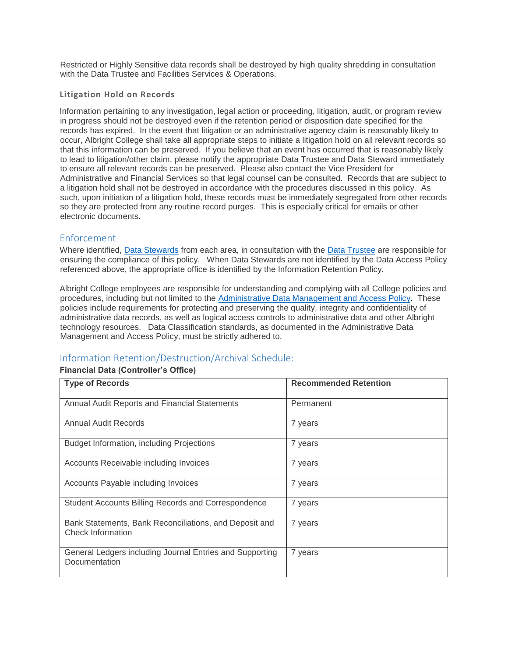Restricted or Highly Sensitive data records shall be destroyed by high quality shredding in consultation with the Data Trustee and Facilities Services & Operations.

#### **Litigation Hold on Records**

Information pertaining to any investigation, legal action or proceeding, litigation, audit, or program review in progress should not be destroyed even if the retention period or disposition date specified for the records has expired. In the event that litigation or an administrative agency claim is reasonably likely to occur, Albright College shall take all appropriate steps to initiate a litigation hold on all relevant records so that this information can be preserved. If you believe that an event has occurred that is reasonably likely to lead to litigation/other claim, please notify the appropriate Data Trustee and Data Steward immediately to ensure all relevant records can be preserved. Please also contact the Vice President for Administrative and Financial Services so that legal counsel can be consulted. Records that are subject to a litigation hold shall not be destroyed in accordance with the procedures discussed in this policy. As such, upon initiation of a litigation hold, these records must be immediately segregated from other records so they are protected from any routine record purges. This is especially critical for emails or other electronic documents.

## <span id="page-2-0"></span>Enforcement

Where identified, [Data Stewards](http://www.albright.edu/itservices/policies/data_access_policy.html) from each area, in consultation with the [Data Trustee](http://www.albright.edu/itservices/policies/data_access_policy.html) are responsible for ensuring the compliance of this policy. When Data Stewards are not identified by the Data Access Policy referenced above, the appropriate office is identified by the Information Retention Policy.

Albright College employees are responsible for understanding and complying with all College policies and procedures, including but not limited to the [Administrative Data Management and Access Policy.](https://www.albright.edu/itservices/policies/pdf/Policy_Administrative_Data_Management.pdf) These policies include requirements for protecting and preserving the quality, integrity and confidentiality of administrative data records, as well as logical access controls to administrative data and other Albright technology resources. Data Classification standards, as documented in the Administrative Data Management and Access Policy, must be strictly adhered to.

## <span id="page-2-1"></span>Information Retention/Destruction/Archival Schedule:

#### <span id="page-2-2"></span>**Financial Data (Controller's Office)**

| <b>Type of Records</b>                                                             | <b>Recommended Retention</b> |
|------------------------------------------------------------------------------------|------------------------------|
| Annual Audit Reports and Financial Statements                                      | Permanent                    |
| Annual Audit Records                                                               | 7 years                      |
| Budget Information, including Projections                                          | 7 years                      |
| Accounts Receivable including Invoices                                             | 7 years                      |
| Accounts Payable including Invoices                                                | 7 years                      |
| Student Accounts Billing Records and Correspondence                                | 7 years                      |
| Bank Statements, Bank Reconciliations, and Deposit and<br><b>Check Information</b> | 7 years                      |
| General Ledgers including Journal Entries and Supporting<br>Documentation          | 7 years                      |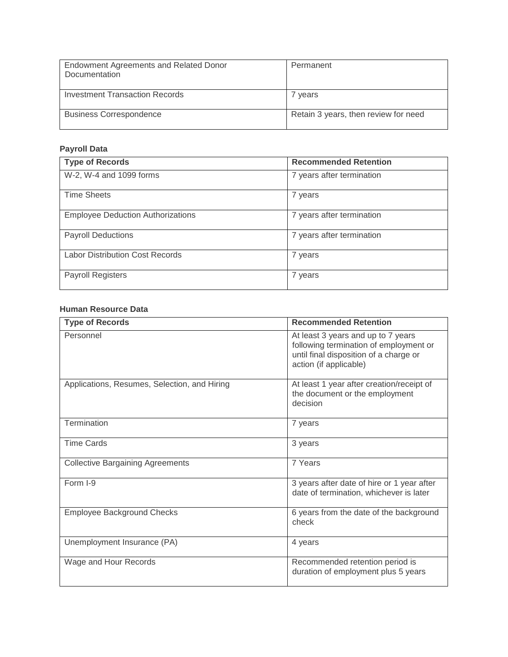| Endowment Agreements and Related Donor<br>Documentation | Permanent                            |
|---------------------------------------------------------|--------------------------------------|
| Investment Transaction Records                          | 7 years                              |
| <b>Business Correspondence</b>                          | Retain 3 years, then review for need |

## <span id="page-3-0"></span>**Payroll Data**

<span id="page-3-2"></span><span id="page-3-1"></span>

| <b>Type of Records</b>                   | <b>Recommended Retention</b> |
|------------------------------------------|------------------------------|
| W-2, W-4 and 1099 forms                  | 7 years after termination    |
| <b>Time Sheets</b>                       | 7 years                      |
| <b>Employee Deduction Authorizations</b> | 7 years after termination    |
| <b>Payroll Deductions</b>                | 7 years after termination    |
| <b>Labor Distribution Cost Records</b>   | 7 years                      |
| Payroll Registers                        | 7 years                      |

#### <span id="page-3-3"></span>**Human Resource Data**

<span id="page-3-5"></span><span id="page-3-4"></span>

| <b>Type of Records</b>                       | <b>Recommended Retention</b>                                                                                                                     |
|----------------------------------------------|--------------------------------------------------------------------------------------------------------------------------------------------------|
| Personnel                                    | At least 3 years and up to 7 years<br>following termination of employment or<br>until final disposition of a charge or<br>action (if applicable) |
| Applications, Resumes, Selection, and Hiring | At least 1 year after creation/receipt of<br>the document or the employment<br>decision                                                          |
| Termination                                  | 7 years                                                                                                                                          |
| <b>Time Cards</b>                            | 3 years                                                                                                                                          |
| <b>Collective Bargaining Agreements</b>      | 7 Years                                                                                                                                          |
| Form I-9                                     | 3 years after date of hire or 1 year after<br>date of termination, whichever is later                                                            |
| <b>Employee Background Checks</b>            | 6 years from the date of the background<br>check                                                                                                 |
| Unemployment Insurance (PA)                  | 4 years                                                                                                                                          |
| Wage and Hour Records                        | Recommended retention period is<br>duration of employment plus 5 years                                                                           |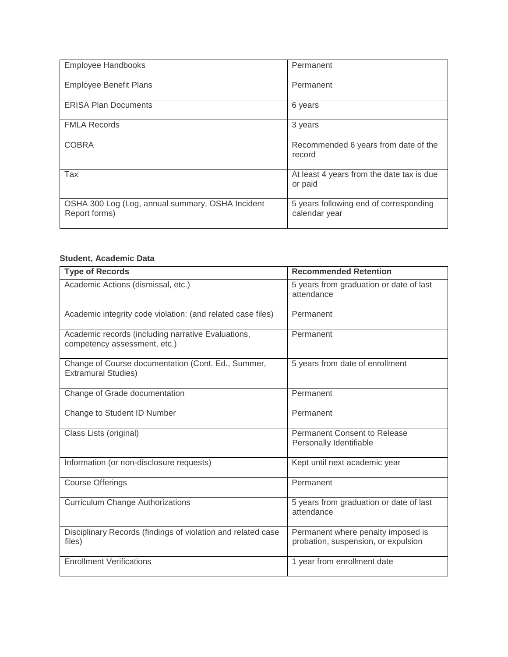| <b>Employee Handbooks</b>                                         | Permanent                                               |
|-------------------------------------------------------------------|---------------------------------------------------------|
| <b>Employee Benefit Plans</b>                                     | Permanent                                               |
| <b>ERISA Plan Documents</b>                                       | 6 years                                                 |
| <b>FMLA Records</b>                                               | 3 years                                                 |
| <b>COBRA</b>                                                      | Recommended 6 years from date of the<br>record          |
| Tax                                                               | At least 4 years from the date tax is due<br>or paid    |
| OSHA 300 Log (Log, annual summary, OSHA Incident<br>Report forms) | 5 years following end of corresponding<br>calendar year |

## <span id="page-4-0"></span>**Student, Academic Data**

<span id="page-4-2"></span><span id="page-4-1"></span>

| <b>Type of Records</b>                                                             | <b>Recommended Retention</b>                                              |
|------------------------------------------------------------------------------------|---------------------------------------------------------------------------|
| Academic Actions (dismissal, etc.)                                                 | 5 years from graduation or date of last<br>attendance                     |
| Academic integrity code violation: (and related case files)                        | Permanent                                                                 |
| Academic records (including narrative Evaluations,<br>competency assessment, etc.) | Permanent                                                                 |
| Change of Course documentation (Cont. Ed., Summer,<br><b>Extramural Studies)</b>   | 5 years from date of enrollment                                           |
| Change of Grade documentation                                                      | Permanent                                                                 |
| Change to Student ID Number                                                        | Permanent                                                                 |
| Class Lists (original)                                                             | <b>Permanent Consent to Release</b><br>Personally Identifiable            |
| Information (or non-disclosure requests)                                           | Kept until next academic year                                             |
| <b>Course Offerings</b>                                                            | Permanent                                                                 |
| <b>Curriculum Change Authorizations</b>                                            | 5 years from graduation or date of last<br>attendance                     |
| Disciplinary Records (findings of violation and related case<br>files)             | Permanent where penalty imposed is<br>probation, suspension, or expulsion |
| <b>Enrollment Verifications</b>                                                    | 1 year from enrollment date                                               |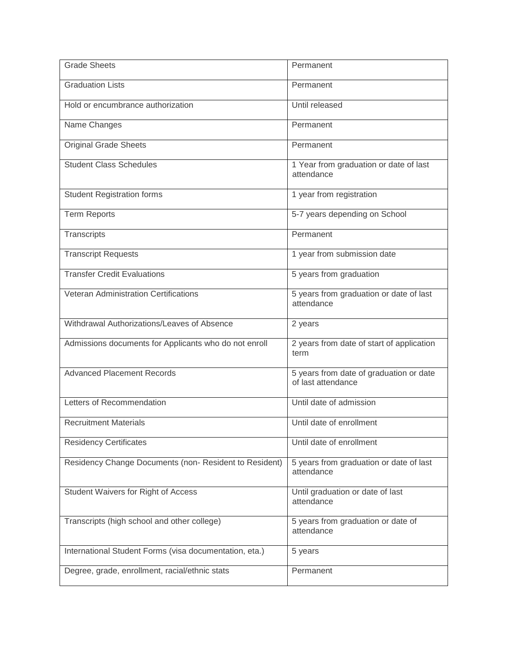| <b>Grade Sheets</b>                                    | Permanent                                                     |
|--------------------------------------------------------|---------------------------------------------------------------|
| <b>Graduation Lists</b>                                | Permanent                                                     |
| Hold or encumbrance authorization                      | Until released                                                |
| Name Changes                                           | Permanent                                                     |
| <b>Original Grade Sheets</b>                           | Permanent                                                     |
| <b>Student Class Schedules</b>                         | 1 Year from graduation or date of last<br>attendance          |
| <b>Student Registration forms</b>                      | 1 year from registration                                      |
| <b>Term Reports</b>                                    | 5-7 years depending on School                                 |
| Transcripts                                            | Permanent                                                     |
| <b>Transcript Requests</b>                             | 1 year from submission date                                   |
| <b>Transfer Credit Evaluations</b>                     | 5 years from graduation                                       |
| Veteran Administration Certifications                  | 5 years from graduation or date of last<br>attendance         |
| Withdrawal Authorizations/Leaves of Absence            | 2 years                                                       |
| Admissions documents for Applicants who do not enroll  | 2 years from date of start of application<br>term             |
| <b>Advanced Placement Records</b>                      | 5 years from date of graduation or date<br>of last attendance |
| Letters of Recommendation                              | Until date of admission                                       |
| <b>Recruitment Materials</b>                           | Until date of enrollment                                      |
| <b>Residency Certificates</b>                          | Until date of enrollment                                      |
| Residency Change Documents (non-Resident to Resident)  | 5 years from graduation or date of last<br>attendance         |
| Student Waivers for Right of Access                    | Until graduation or date of last<br>attendance                |
| Transcripts (high school and other college)            | 5 years from graduation or date of<br>attendance              |
| International Student Forms (visa documentation, eta.) | 5 years                                                       |
| Degree, grade, enrollment, racial/ethnic stats         | Permanent                                                     |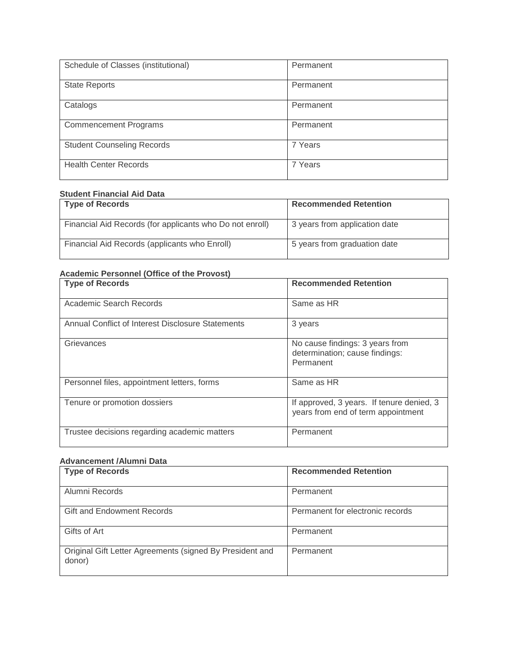| Schedule of Classes (institutional) | Permanent |
|-------------------------------------|-----------|
| <b>State Reports</b>                | Permanent |
| Catalogs                            | Permanent |
| <b>Commencement Programs</b>        | Permanent |
| <b>Student Counseling Records</b>   | 7 Years   |
| <b>Health Center Records</b>        | 7 Years   |

## **Student Financial Aid Data**

| <b>Type of Records</b>                                   | <b>Recommended Retention</b>  |
|----------------------------------------------------------|-------------------------------|
| Financial Aid Records (for applicants who Do not enroll) | 3 years from application date |
| Financial Aid Records (applicants who Enroll)            | 5 years from graduation date  |

## **Academic Personnel (Office of the Provost)**

| <b>Type of Records</b>                            | <b>Recommended Retention</b>                                                    |
|---------------------------------------------------|---------------------------------------------------------------------------------|
| Academic Search Records                           | Same as HR                                                                      |
| Annual Conflict of Interest Disclosure Statements | 3 years                                                                         |
| Grievances                                        | No cause findings: 3 years from<br>determination; cause findings:<br>Permanent  |
| Personnel files, appointment letters, forms       | Same as HR                                                                      |
| Tenure or promotion dossiers                      | If approved, 3 years. If tenure denied, 3<br>years from end of term appointment |
| Trustee decisions regarding academic matters      | Permanent                                                                       |

#### **Advancement /Alumni Data**

| <b>Type of Records</b>                                             | <b>Recommended Retention</b>     |
|--------------------------------------------------------------------|----------------------------------|
| Alumni Records                                                     | Permanent                        |
| Gift and Endowment Records                                         | Permanent for electronic records |
| Gifts of Art                                                       | Permanent                        |
| Original Gift Letter Agreements (signed By President and<br>donor) | Permanent                        |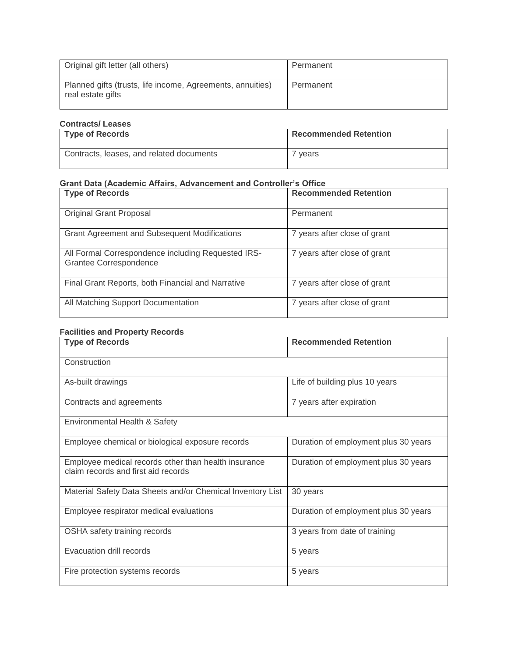| Original gift letter (all others)                                               | Permanent |
|---------------------------------------------------------------------------------|-----------|
| Planned gifts (trusts, life income, Agreements, annuities)<br>real estate gifts | Permanent |

## **Contracts/ Leases**

| Type of Records                          | <b>Recommended Retention</b> |
|------------------------------------------|------------------------------|
| Contracts, leases, and related documents | vears                        |

## **Grant Data (Academic Affairs, Advancement and Controller's Office**

| <b>Type of Records</b>                                                       | <b>Recommended Retention</b> |
|------------------------------------------------------------------------------|------------------------------|
| <b>Original Grant Proposal</b>                                               | Permanent                    |
| <b>Grant Agreement and Subsequent Modifications</b>                          | 7 years after close of grant |
| All Formal Correspondence including Requested IRS-<br>Grantee Correspondence | 7 years after close of grant |
| Final Grant Reports, both Financial and Narrative                            | 7 years after close of grant |
| All Matching Support Documentation                                           | 7 years after close of grant |

## **Facilities and Property Records**

| <b>Type of Records</b>                                                                      | <b>Recommended Retention</b>         |
|---------------------------------------------------------------------------------------------|--------------------------------------|
| Construction                                                                                |                                      |
| As-built drawings                                                                           | Life of building plus 10 years       |
| Contracts and agreements                                                                    | 7 years after expiration             |
| Environmental Health & Safety                                                               |                                      |
| Employee chemical or biological exposure records                                            | Duration of employment plus 30 years |
| Employee medical records other than health insurance<br>claim records and first aid records | Duration of employment plus 30 years |
| Material Safety Data Sheets and/or Chemical Inventory List                                  | 30 years                             |
| Employee respirator medical evaluations                                                     | Duration of employment plus 30 years |
| OSHA safety training records                                                                | 3 years from date of training        |
| Evacuation drill records                                                                    | 5 years                              |
| Fire protection systems records                                                             | 5 years                              |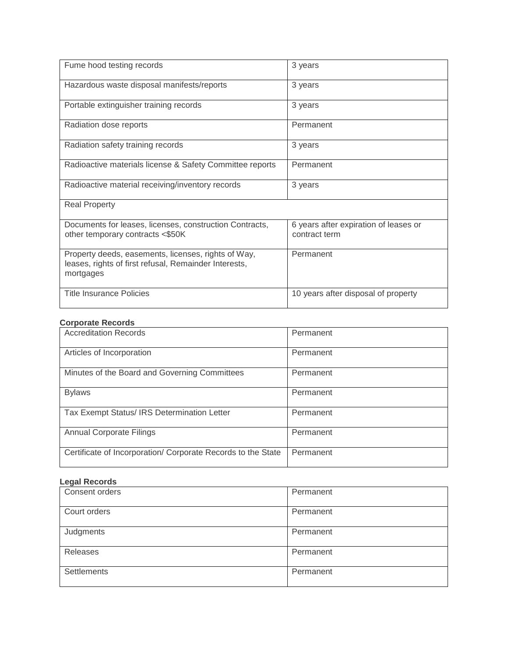| Fume hood testing records                                                                                                 | 3 years                                                |
|---------------------------------------------------------------------------------------------------------------------------|--------------------------------------------------------|
| Hazardous waste disposal manifests/reports                                                                                | 3 years                                                |
| Portable extinguisher training records                                                                                    | 3 years                                                |
| Radiation dose reports                                                                                                    | Permanent                                              |
| Radiation safety training records                                                                                         | 3 years                                                |
| Radioactive materials license & Safety Committee reports                                                                  | Permanent                                              |
| Radioactive material receiving/inventory records                                                                          | 3 years                                                |
| <b>Real Property</b>                                                                                                      |                                                        |
| Documents for leases, licenses, construction Contracts,<br>other temporary contracts <\$50K                               | 6 years after expiration of leases or<br>contract term |
| Property deeds, easements, licenses, rights of Way,<br>leases, rights of first refusal, Remainder Interests,<br>mortgages | Permanent                                              |
| <b>Title Insurance Policies</b>                                                                                           | 10 years after disposal of property                    |

#### **Corporate Records**

| <b>Accreditation Records</b>                                 | Permanent |
|--------------------------------------------------------------|-----------|
| Articles of Incorporation                                    | Permanent |
| Minutes of the Board and Governing Committees                | Permanent |
| <b>Bylaws</b>                                                | Permanent |
| Tax Exempt Status/ IRS Determination Letter                  | Permanent |
| <b>Annual Corporate Filings</b>                              | Permanent |
| Certificate of Incorporation/ Corporate Records to the State | Permanent |

## **Legal Records**

| Consent orders     | Permanent |
|--------------------|-----------|
| Court orders       | Permanent |
| Judgments          | Permanent |
| Releases           | Permanent |
| <b>Settlements</b> | Permanent |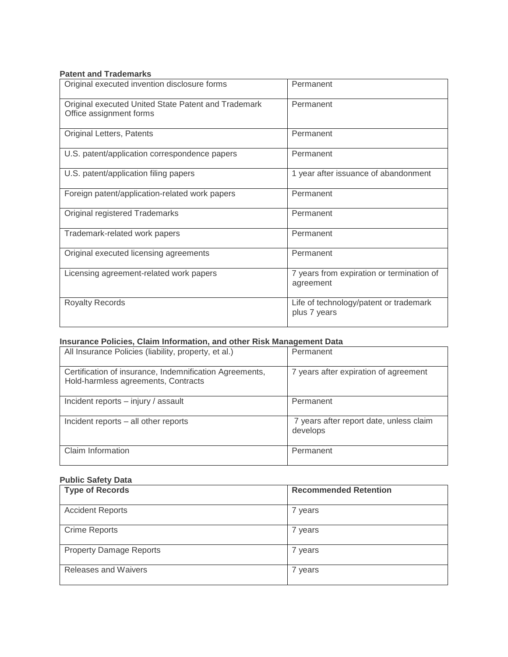## **Patent and Trademarks**

| Original executed invention disclosure forms                                   | Permanent                                              |
|--------------------------------------------------------------------------------|--------------------------------------------------------|
| Original executed United State Patent and Trademark<br>Office assignment forms | Permanent                                              |
| Original Letters, Patents                                                      | Permanent                                              |
| U.S. patent/application correspondence papers                                  | Permanent                                              |
| U.S. patent/application filing papers                                          | 1 year after issuance of abandonment                   |
| Foreign patent/application-related work papers                                 | Permanent                                              |
| Original registered Trademarks                                                 | Permanent                                              |
| Trademark-related work papers                                                  | Permanent                                              |
| Original executed licensing agreements                                         | Permanent                                              |
| Licensing agreement-related work papers                                        | 7 years from expiration or termination of<br>agreement |
| <b>Royalty Records</b>                                                         | Life of technology/patent or trademark<br>plus 7 years |

## **Insurance Policies, Claim Information, and other Risk Management Data**

| All Insurance Policies (liability, property, et al.)                                           | Permanent                                           |
|------------------------------------------------------------------------------------------------|-----------------------------------------------------|
| Certification of insurance, Indemnification Agreements,<br>Hold-harmless agreements, Contracts | 7 years after expiration of agreement               |
| Incident reports - injury / assault                                                            | Permanent                                           |
| Incident reports – all other reports                                                           | 7 years after report date, unless claim<br>develops |
| Claim Information                                                                              | Permanent                                           |

## **Public Safety Data**

| <b>Type of Records</b>         | <b>Recommended Retention</b> |
|--------------------------------|------------------------------|
| <b>Accident Reports</b>        | 7 years                      |
| <b>Crime Reports</b>           | 7 years                      |
| <b>Property Damage Reports</b> | 7 years                      |
| Releases and Waivers           | 7 years                      |